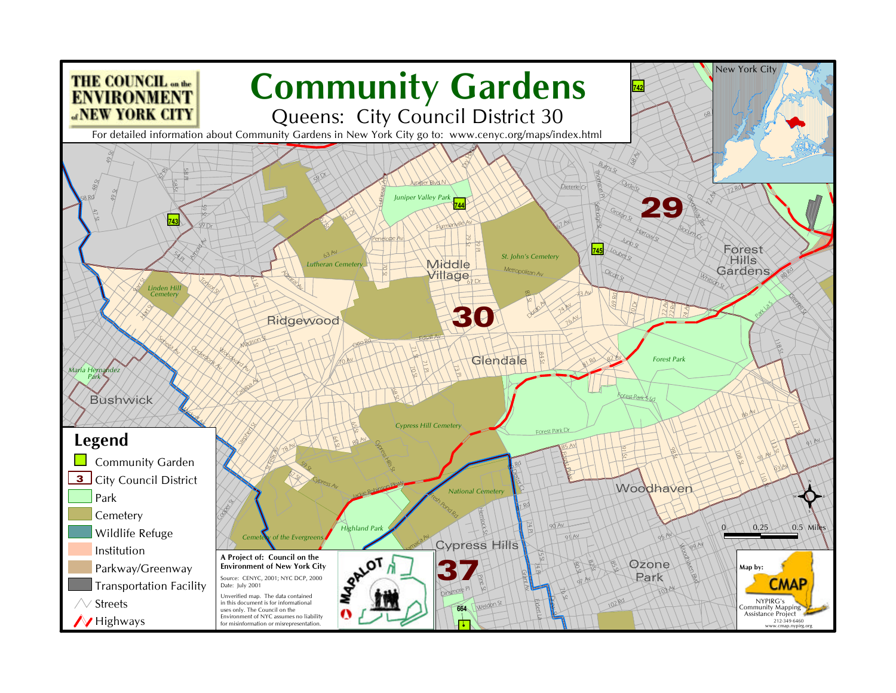